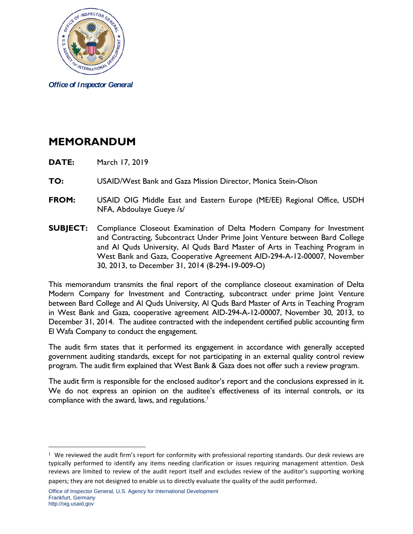

*Office of Inspector General*

## **MEMORANDUM**

- **DATE:** March 17, 2019
- **TO:** USAID/West Bank and Gaza Mission Director, Monica Stein-Olson
- **FROM:** USAID OIG Middle East and Eastern Europe (ME/EE) Regional Office, USDH NFA, Abdoulaye Gueye /s/
- **SUBJECT:** Compliance Closeout Examination of Delta Modern Company for Investment and Contracting, Subcontract Under Prime Joint Venture between Bard College and Al Quds University, Al Quds Bard Master of Arts in Teaching Program in West Bank and Gaza, Cooperative Agreement AID-294-A-12-00007, November 30, 2013, to December 31, 2014 (8-294-19-009-O)

This memorandum transmits the final report of the compliance closeout examination of Delta Modern Company for Investment and Contracting, subcontract under prime Joint Venture between Bard College and Al Quds University, Al Quds Bard Master of Arts in Teaching Program in West Bank and Gaza, cooperative agreement AID-294-A-12-00007, November 30, 2013, to December 31, 2014. The auditee contracted with the independent certified public accounting firm El Wafa Company to conduct the engagement.

The audit firm states that it performed its engagement in accordance with generally accepted government auditing standards, except for not participating in an external quality control review program. The audit firm explained that West Bank & Gaza does not offer such a review program.

The audit firm is responsible for the enclosed auditor's report and the conclusions expressed in it. We do not express an opinion on the auditee's effectiveness of its internal controls, or its compliance with the award, laws, and regulations.<sup>[1](#page-0-0)</sup>

 $\overline{a}$ 

<span id="page-0-0"></span> $1$  We reviewed the audit firm's report for conformity with professional reporting standards. Our desk reviews are typically performed to identify any items needing clarification or issues requiring management attention. Desk reviews are limited to review of the audit report itself and excludes review of the auditor's supporting working papers; they are not designed to enable us to directly evaluate the quality of the audit performed.